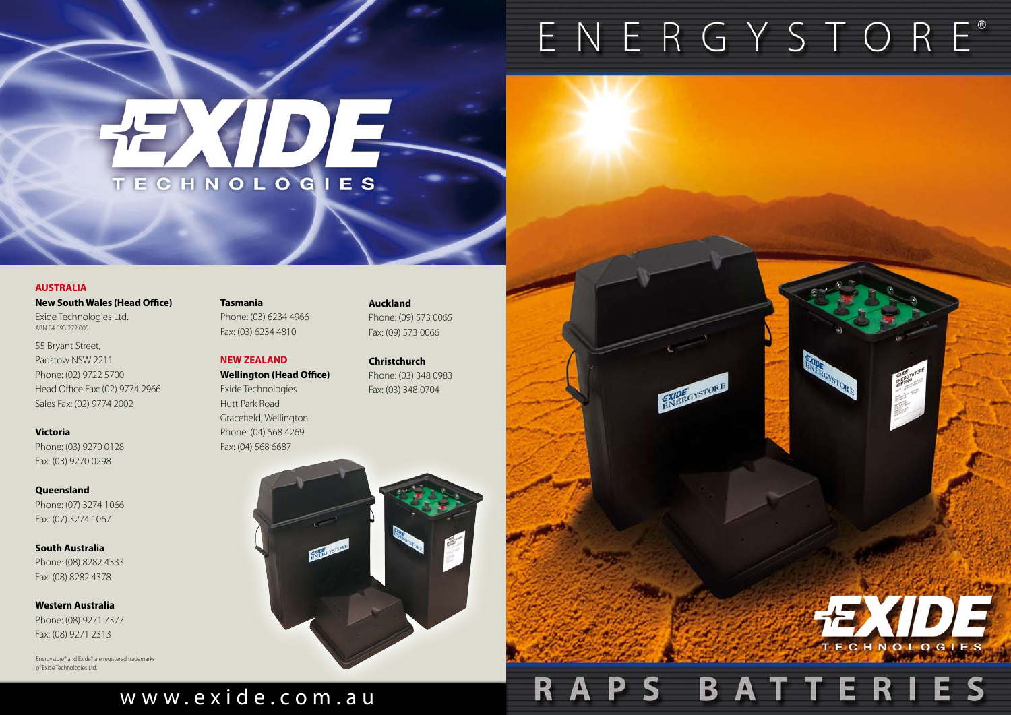# w w w . e x i d e . c o m . a u

Energystore® and Exide® are registered trademarks of Exide Technologies Ltd.

# TECHNOLOGIES

#### **AUSTRALIA**

**New South Wales (Head Office)** Exide Technologies Ltd.

ABN 84 093 272 005

55 Bryant Street, Padstow NSW 2211 Phone: (02) 9722 5700 Head Office Fax: (02) 9774 2966 Sales Fax: (02) 9774 2002

**Victoria** Phone: (03) 9270 0128 Fax: (03) 9270 0298

**Queensland** Phone: (07) 3274 1066 Fax: (07) 3274 1067

**South Australia** Phone: (08) 8282 4333 Fax: (08) 8282 4378

**Western Australia** Phone: (08) 9271 7377 Fax: (08) 9271 2313

## **Tasmania**

Phone: (03) 6234 4966 Fax: (03) 6234 4810

## **NEW ZEALAND**

**Wellington (Head Office)** Exide Technologies Hutt Park Road Gracefield, Wellington Phone: (04) 568 4269 Fax: (04) 568 6687

**Auckland** Phone: (09) 573 0065 Fax: (09) 573 0066

**Christchurch** Phone: (03) 348 0983 Fax: (03) 348 0704